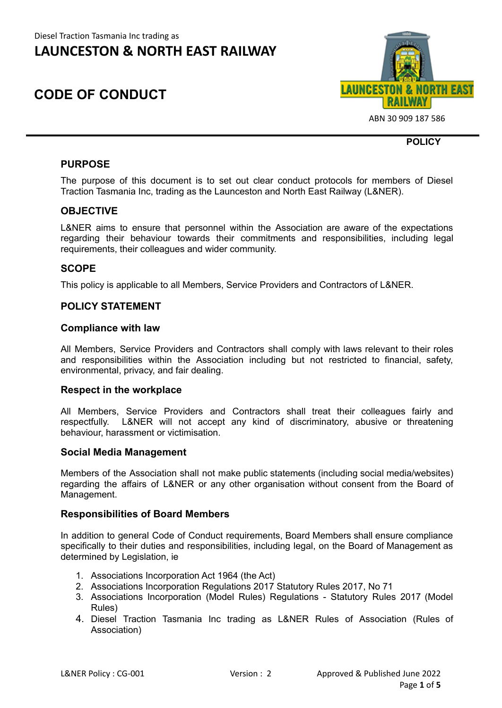## **CODE OF CONDUCT**



ABN 30 909 187 586

**POLICY**

## **PURPOSE**

The purpose of this document is to set out clear conduct protocols for members of Diesel Traction Tasmania Inc, trading as the Launceston and North East Railway (L&NER).

## **OBJECTIVE**

L&NER aims to ensure that personnel within the Association are aware of the expectations regarding their behaviour towards their commitments and responsibilities, including legal requirements, their colleagues and wider community.

## **SCOPE**

This policy is applicable to all Members, Service Providers and Contractors of L&NER.

## **POLICY STATEMENT**

### **Compliance with law**

All Members, Service Providers and Contractors shall comply with laws relevant to their roles and responsibilities within the Association including but not restricted to financial, safety, environmental, privacy, and fair dealing.

### **Respect in the workplace**

All Members, Service Providers and Contractors shall treat their colleagues fairly and respectfully. L&NER will not accept any kind of discriminatory, abusive or threatening behaviour, harassment or victimisation.

### **Social Media Management**

Members of the Association shall not make public statements (including social media/websites) regarding the affairs of L&NER or any other organisation without consent from the Board of Management.

### **Responsibilities of Board Members**

In addition to general Code of Conduct requirements, Board Members shall ensure compliance specifically to their duties and responsibilities, including legal, on the Board of Management as determined by Legislation, ie

- 1. Associations Incorporation Act 1964 (the Act)
- 2. Associations Incorporation Regulations 2017 Statutory Rules 2017, No 71
- 3. Associations Incorporation (Model Rules) Regulations Statutory Rules 2017 (Model Rules)
- 4. Diesel Traction Tasmania Inc trading as L&NER Rules of Association (Rules of Association)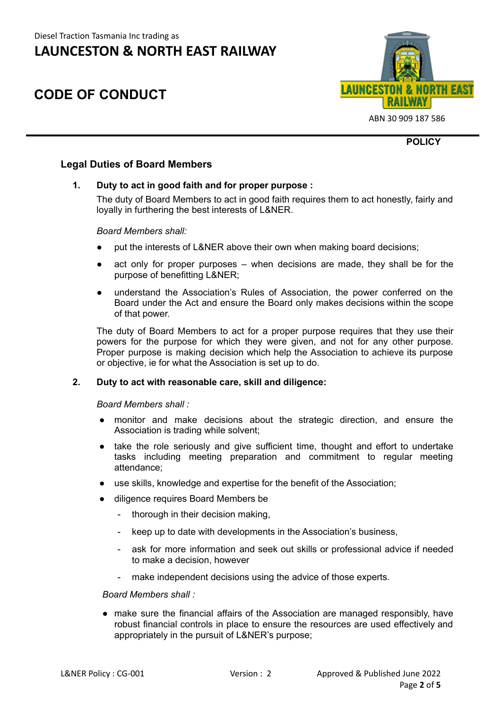# **CODE OF CONDUCT**



ABN 30 909 187 586

**POLICY**

## **Legal Duties of Board Members**

### **1. Duty to act in good faith and for proper purpose :**

The duty of Board Members to act in good faith requires them to act honestly, fairly and loyally in furthering the best interests of L&NER.

#### *Board Members shall:*

- put the interests of L&NER above their own when making board decisions;
- act only for proper purposes when decisions are made, they shall be for the purpose of benefitting L&NER;
- understand the Association's Rules of Association, the power conferred on the Board under the Act and ensure the Board only makes decisions within the scope of that power.

The duty of Board Members to act for a proper purpose requires that they use their powers for the purpose for which they were given, and not for any other purpose. Proper purpose is making decision which help the Association to achieve its purpose or objective, ie for what the Association is set up to do.

## **2. Duty to act with reasonable care, skill and diligence:**

*Board Members shall :*

- monitor and make decisions about the strategic direction, and ensure the Association is trading while solvent;
- take the role seriously and give sufficient time, thought and effort to undertake tasks including meeting preparation and commitment to regular meeting attendance;
- use skills, knowledge and expertise for the benefit of the Association;
- diligence requires Board Members be
	- thorough in their decision making,
	- keep up to date with developments in the Association's business,
	- ask for more information and seek out skills or professional advice if needed to make a decision, however
	- make independent decisions using the advice of those experts.

#### *Board Members shall :*

● make sure the financial affairs of the Association are managed responsibly, have robust financial controls in place to ensure the resources are used effectively and appropriately in the pursuit of L&NER's purpose;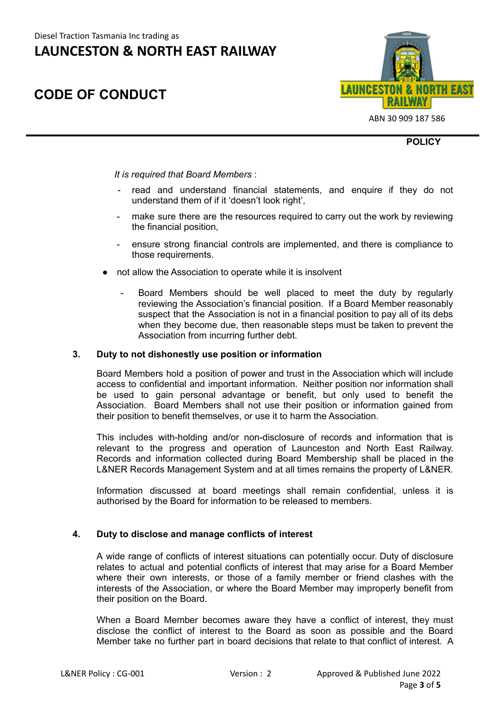# **CODE OF CONDUCT**



ABN 30 909 187 586

**POLICY**

#### *It is required that Board Members* :

- read and understand financial statements, and enquire if they do not understand them of if it 'doesn't look right',
- make sure there are the resources required to carry out the work by reviewing the financial position,
- ensure strong financial controls are implemented, and there is compliance to those requirements.
- not allow the Association to operate while it is insolvent
	- Board Members should be well placed to meet the duty by regularly reviewing the Association's financial position. If a Board Member reasonably suspect that the Association is not in a financial position to pay all of its debs when they become due, then reasonable steps must be taken to prevent the Association from incurring further debt.

#### **3. Duty to not dishonestly use position or information**

Board Members hold a position of power and trust in the Association which will include access to confidential and important information. Neither position nor information shall be used to gain personal advantage or benefit, but only used to benefit the Association. Board Members shall not use their position or information gained from their position to benefit themselves, or use it to harm the Association.

This includes with-holding and/or non-disclosure of records and information that is relevant to the progress and operation of Launceston and North East Railway. Records and information collected during Board Membership shall be placed in the L&NER Records Management System and at all times remains the property of L&NER.

Information discussed at board meetings shall remain confidential, unless it is authorised by the Board for information to be released to members.

#### **4. Duty to disclose and manage conflicts of interest**

A wide range of conflicts of interest situations can potentially occur. Duty of disclosure relates to actual and potential conflicts of interest that may arise for a Board Member where their own interests, or those of a family member or friend clashes with the interests of the Association, or where the Board Member may improperly benefit from their position on the Board.

When a Board Member becomes aware they have a conflict of interest, they must disclose the conflict of interest to the Board as soon as possible and the Board Member take no further part in board decisions that relate to that conflict of interest. A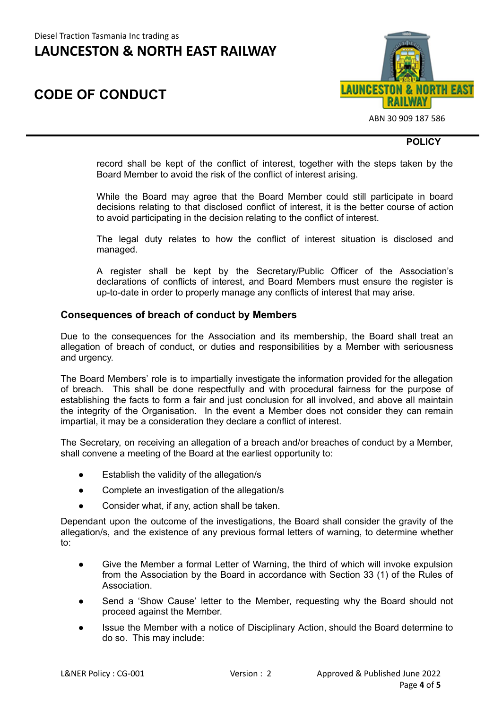# **CODE OF CONDUCT**



ABN 30 909 187 586

#### **POLICY**

record shall be kept of the conflict of interest, together with the steps taken by the Board Member to avoid the risk of the conflict of interest arising.

While the Board may agree that the Board Member could still participate in board decisions relating to that disclosed conflict of interest, it is the better course of action to avoid participating in the decision relating to the conflict of interest.

The legal duty relates to how the conflict of interest situation is disclosed and managed.

A register shall be kept by the Secretary/Public Officer of the Association's declarations of conflicts of interest, and Board Members must ensure the register is up-to-date in order to properly manage any conflicts of interest that may arise.

#### **Consequences of breach of conduct by Members**

Due to the consequences for the Association and its membership, the Board shall treat an allegation of breach of conduct, or duties and responsibilities by a Member with seriousness and urgency.

The Board Members' role is to impartially investigate the information provided for the allegation of breach. This shall be done respectfully and with procedural fairness for the purpose of establishing the facts to form a fair and just conclusion for all involved, and above all maintain the integrity of the Organisation. In the event a Member does not consider they can remain impartial, it may be a consideration they declare a conflict of interest.

The Secretary, on receiving an allegation of a breach and/or breaches of conduct by a Member, shall convene a meeting of the Board at the earliest opportunity to:

- Establish the validity of the allegation/s
- Complete an investigation of the allegation/s
- Consider what, if any, action shall be taken.

Dependant upon the outcome of the investigations, the Board shall consider the gravity of the allegation/s, and the existence of any previous formal letters of warning, to determine whether to:

- Give the Member a formal Letter of Warning, the third of which will invoke expulsion from the Association by the Board in accordance with Section 33 (1) of the Rules of Association.
- Send a 'Show Cause' letter to the Member, requesting why the Board should not proceed against the Member.
- Issue the Member with a notice of Disciplinary Action, should the Board determine to do so. This may include: